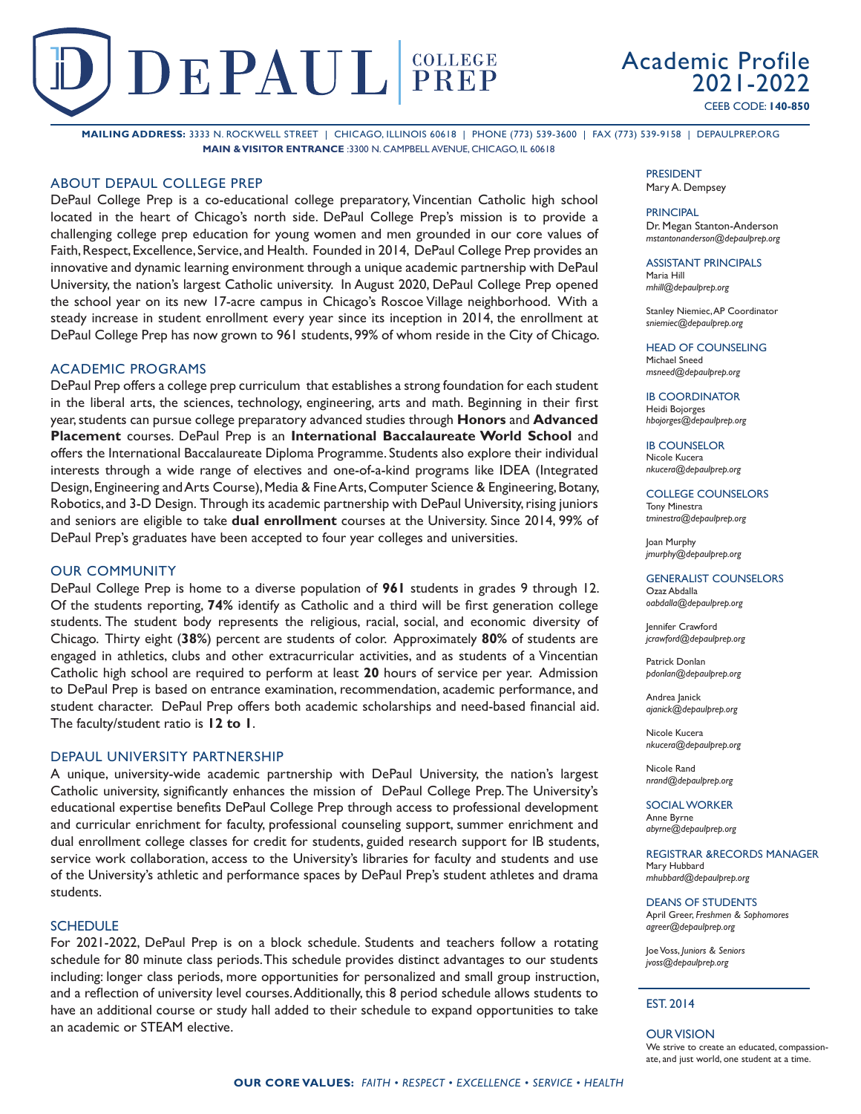# DEPAUL PREP

Academic Profile 2021-2022 CEEB CODE: **140-850**

**MAILING ADDRESS:** 3333 N. ROCKWELL STREET | CHICAGO, ILLINOIS 60618 | PHONE (773) 539-3600 | FAX (773) 539-9158 | DEPAULPREP.ORG **MAIN & VISITOR ENTRANCE** :3300 N. CAMPBELL AVENUE, CHICAGO, IL 60618

### ABOUT DEPAUL COLLEGE PREP

DePaul College Prep is a co-educational college preparatory, Vincentian Catholic high school located in the heart of Chicago's north side. DePaul College Prep's mission is to provide a challenging college prep education for young women and men grounded in our core values of Faith, Respect, Excellence, Service, and Health. Founded in 2014, DePaul College Prep provides an innovative and dynamic learning environment through a unique academic partnership with DePaul University, the nation's largest Catholic university. In August 2020, DePaul College Prep opened the school year on its new 17-acre campus in Chicago's Roscoe Village neighborhood. With a steady increase in student enrollment every year since its inception in 2014, the enrollment at DePaul College Prep has now grown to 961 students, 99% of whom reside in the City of Chicago.

## ACADEMIC PROGRAMS

DePaul Prep offers a college prep curriculum that establishes a strong foundation for each student in the liberal arts, the sciences, technology, engineering, arts and math. Beginning in their first year, students can pursue college preparatory advanced studies through **Honors** and **Advanced Placement** courses. DePaul Prep is an **International Baccalaureate World School** and offers the International Baccalaureate Diploma Programme. Students also explore their individual interests through a wide range of electives and one-of-a-kind programs like IDEA (Integrated Design, Engineering and Arts Course), Media & Fine Arts, Computer Science & Engineering, Botany, Robotics, and 3-D Design. Through its academic partnership with DePaul University, rising juniors and seniors are eligible to take **dual enrollment** courses at the University. Since 2014, 99% of DePaul Prep's graduates have been accepted to four year colleges and universities.

## OUR COMMUNITY

DePaul College Prep is home to a diverse population of **961** students in grades 9 through 12. Of the students reporting, **74%** identify as Catholic and a third will be first generation college students. The student body represents the religious, racial, social, and economic diversity of Chicago. Thirty eight (**38%**) percent are students of color. Approximately **80%** of students are engaged in athletics, clubs and other extracurricular activities, and as students of a Vincentian Catholic high school are required to perform at least **20** hours of service per year. Admission to DePaul Prep is based on entrance examination, recommendation, academic performance, and student character. DePaul Prep offers both academic scholarships and need-based financial aid. The faculty/student ratio is **12 to 1**.

## DEPAUL UNIVERSITY PARTNERSHIP

A unique, university-wide academic partnership with DePaul University, the nation's largest Catholic university, significantly enhances the mission of DePaul College Prep. The University's educational expertise benefits DePaul College Prep through access to professional development and curricular enrichment for faculty, professional counseling support, summer enrichment and dual enrollment college classes for credit for students, guided research support for IB students, service work collaboration, access to the University's libraries for faculty and students and use of the University's athletic and performance spaces by DePaul Prep's student athletes and drama students.

#### **SCHEDULE**

For 2021-2022, DePaul Prep is on a block schedule. Students and teachers follow a rotating schedule for 80 minute class periods. This schedule provides distinct advantages to our students including: longer class periods, more opportunities for personalized and small group instruction, and a reflection of university level courses. Additionally, this 8 period schedule allows students to have an additional course or study hall added to their schedule to expand opportunities to take an academic or STEAM elective.

#### PRESIDENT Mary A. Dempsey

#### PRINCIPAL

Dr. Megan Stanton-Anderson *mstantonanderson@depaulprep.org*

ASSISTANT PRINCIPALS Maria Hill

*mhill@depaulprep.org*

Stanley Niemiec, AP Coordinator *sniemiec@depaulprep.org*

HEAD OF COUNSELING Michael Sneed *msneed@depaulprep.org*

IB COORDINATOR Heidi Bojorges *hbojorges@depaulprep.org*

**IB COUNSELOR** Nicole Kucera *nkucera@depaulprep.org*

COLLEGE COUNSELORS Tony Minestra *tminestra@depaulprep.org*

Joan Murphy *jmurphy@depaulprep.org*

GENERALIST COUNSELORS Ozaz Abdalla *oabdalla@depaulprep.org*

Jennifer Crawford *jcrawford@depaulprep.org*

Patrick Donlan *pdonlan@depaulprep.org*

Andrea Janick *ajanick@depaulprep.org*

Nicole Kucera *nkucera@depaulprep.org*

Nicole Rand *nrand@depaulprep.org*

SOCIAL WORKER Anne Byrne *abyrne@depaulprep.org*

REGISTRAR &RECORDS MANAGER Mary Hubbard *mhubbard@depaulprep.org*

DEANS OF STUDENTS April Greer, *Freshmen & Sophomores agreer@depaulprep.org*

Joe Voss, *Juniors & Seniors jvoss@depaulprep.org*

#### EST. 2014

OUR VISION We strive to create an educated, compassionate, and just world, one student at a time.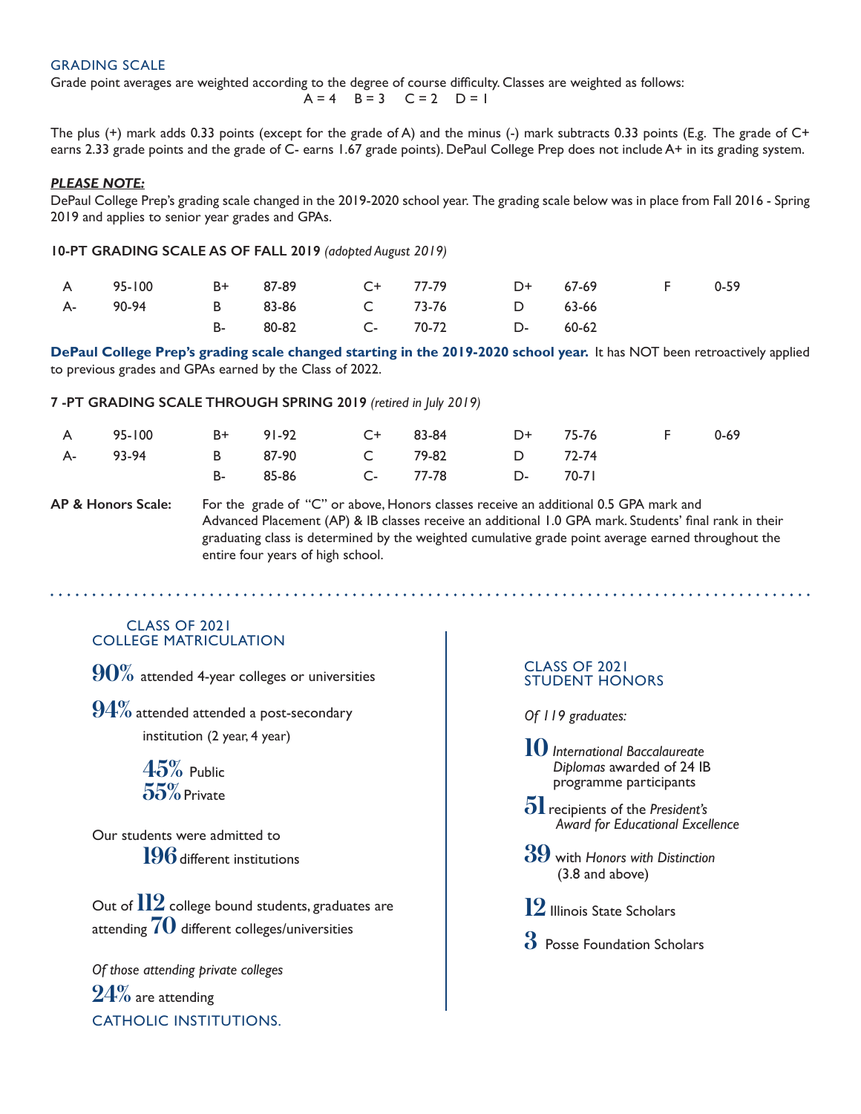## GRADING SCALE

Grade point averages are weighted according to the degree of course difficulty. Classes are weighted as follows:

$$
A = 4 \quad B = 3 \quad C = 2 \quad D = 1
$$

The plus (+) mark adds 0.33 points (except for the grade of A) and the minus (-) mark subtracts 0.33 points (E.g. The grade of C+ earns 2.33 grade points and the grade of C- earns 1.67 grade points). DePaul College Prep does not include A+ in its grading system.

### *PLEASE NOTE:*

DePaul College Prep's grading scale changed in the 2019-2020 school year. The grading scale below was in place from Fall 2016 - Spring 2019 and applies to senior year grades and GPAs.

**10-PT GRADING SCALE AS OF FALL 2019** *(adopted August 2019)*

|  |                                  |  | A 95-100 B+ 87-89 C+ 77-79 D+ 67-69 F 0-59 |  |
|--|----------------------------------|--|--------------------------------------------|--|
|  | A- 90-94 B 83-86 C 73-76 D 63-66 |  |                                            |  |
|  | B- 80-82 C- 70-72 D- 60-62       |  |                                            |  |

**DePaul College Prep's grading scale changed starting in the 2019-2020 school year.** It has NOT been retroactively applied to previous grades and GPAs earned by the Class of 2022.

## **7 -PT GRADING SCALE THROUGH SPRING 2019** *(retired in July 2019)*

|  |                                  |  | A 95-100 B+ 91-92 C+ 83-84 D+ 75-76 F 0-69 |  |
|--|----------------------------------|--|--------------------------------------------|--|
|  | A- 93-94 B 87-90 C 79-82 D 72-74 |  |                                            |  |
|  | B- 85-86 C- 77-78 D- 70-71       |  |                                            |  |

**AP & Honors Scale:** For the grade of "C" or above, Honors classes receive an additional 0.5 GPA mark and Advanced Placement (AP) & IB classes receive an additional 1.0 GPA mark. Students' final rank in their graduating class is determined by the weighted cumulative grade point average earned throughout the entire four years of high school.

## COLLEGE MATRICULATION CLASS OF 2021

**90%** attended 4-year colleges or universities

**94%** attended attended a post-secondary institution (2 year, 4 year)

> **45%** Public **55%**Private

Our students were admitted to **196**different institutions

Out of  $112$  college bound students, graduates are attending **70** different colleges/universities

*Of those attending private colleges* **24%** are attending CATHOLIC INSTITUTIONS.

## STUDENT HONORS CLASS OF 2021

*Of 119 graduates:*

**10** *International Baccalaureate Diplomas* awarded of 24 IB programme participants

**51**recipients of the *President's Award for Educational Excellence*

**39** with *Honors with Distinction* (3.8 and above)

- **12** Illinois State Scholars
- **3** Posse Foundation Scholars